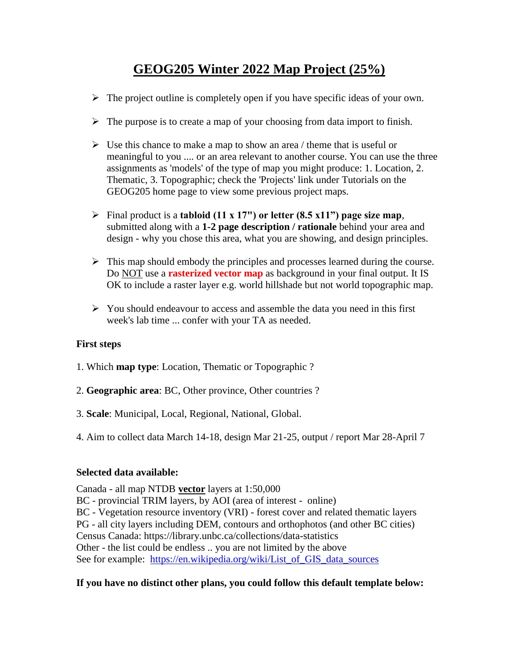# **GEOG205 Winter 2022 Map Project (25%)**

- $\triangleright$  The project outline is completely open if you have specific ideas of your own.
- $\triangleright$  The purpose is to create a map of your choosing from data import to finish.
- $\triangleright$  Use this chance to make a map to show an area / theme that is useful or meaningful to you .... or an area relevant to another course. You can use the three assignments as 'models' of the type of map you might produce: 1. Location, 2. Thematic, 3. Topographic; check the 'Projects' link under Tutorials on the GEOG205 home page to view some previous project maps.
- Final product is a **tabloid (11 x 17") or letter (8.5 x11") page size map**, submitted along with a **1-2 page description / rationale** behind your area and design - why you chose this area, what you are showing, and design principles.
- $\triangleright$  This map should embody the principles and processes learned during the course. Do NOT use a **rasterized vector map** as background in your final output. It IS OK to include a raster layer e.g. world hillshade but not world topographic map.
- $\triangleright$  You should endeavour to access and assemble the data you need in this first week's lab time ... confer with your TA as needed.

# **First steps**

- 1. Which **map type**: Location, Thematic or Topographic ?
- 2. **Geographic area**: BC, Other province, Other countries ?
- 3. **Scale**: Municipal, Local, Regional, National, Global.
- 4. Aim to collect data March 14-18, design Mar 21-25, output / report Mar 28-April 7

# **Selected data available:**

Canada - all map NTDB **vector** layers at 1:50,000 BC - provincial TRIM layers, by AOI (area of interest - online) BC - Vegetation resource inventory (VRI) - forest cover and related thematic layers PG - all city layers including DEM, contours and orthophotos (and other BC cities) Census Canada: https://library.unbc.ca/collections/data-statistics Other - the list could be endless .. you are not limited by the above See for example: [https://en.wikipedia.org/wiki/List\\_of\\_GIS\\_data\\_sources](https://en.wikipedia.org/wiki/List_of_GIS_data_sources)

# **If you have no distinct other plans, you could follow this default template below:**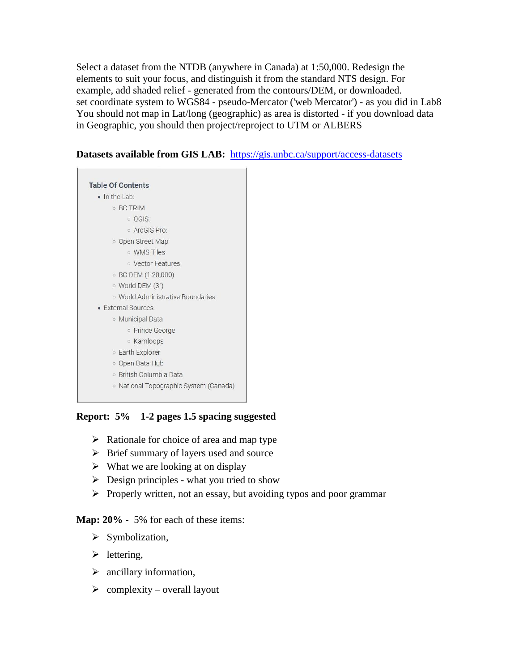Select a dataset from the NTDB (anywhere in Canada) at 1:50,000. Redesign the elements to suit your focus, and distinguish it from the standard NTS design. For example, add shaded relief - generated from the contours/DEM, or downloaded. set coordinate system to WGS84 - pseudo-Mercator ('web Mercator') - as you did in Lab8 You should not map in Lat/long (geographic) as area is distorted - if you download data in Geographic, you should then project/reproject to UTM or ALBERS

#### **Datasets available from GIS LAB:** <https://gis.unbc.ca/support/access-datasets>

| <b>Table Of Contents</b>               |
|----------------------------------------|
| $\bullet$ In the Lab:                  |
| <b>BC TRIM</b>                         |
| o QGIS:                                |
| o ArcGIS Pro:                          |
| o Open Street Map                      |
| o WMS Tiles                            |
| <b>O</b> Vector Features               |
| ○ BC DEM (1:20,000)                    |
| ○ World DEM (3")                       |
| o World Administrative Boundaries      |
| • External Sources:                    |
| <b>Municipal Data</b>                  |
| o Prince George                        |
| ○ Kamloops                             |
| <b>Earth Explorer</b>                  |
| o Open Data Hub                        |
| o British Columbia Data                |
| ○ National Topographic System (Canada) |

# **Report: 5% 1-2 pages 1.5 spacing suggested**

- $\triangleright$  Rationale for choice of area and map type
- $\triangleright$  Brief summary of layers used and source
- $\triangleright$  What we are looking at on display
- $\triangleright$  Design principles what you tried to show
- $\triangleright$  Properly written, not an essay, but avoiding typos and poor grammar

#### **Map: 20% -** 5% for each of these items:

- $\triangleright$  Symbolization,
- $\blacktriangleright$  lettering,
- $\triangleright$  ancillary information,
- $\triangleright$  complexity overall layout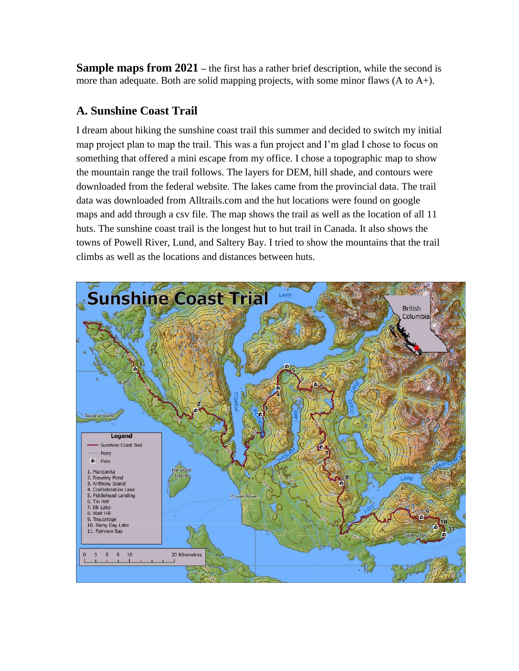**Sample maps from 2021** – the first has a rather brief description, while the second is more than adequate. Both are solid mapping projects, with some minor flaws (A to A+).

# **A. Sunshine Coast Trail**

I dream about hiking the sunshine coast trail this summer and decided to switch my initial map project plan to map the trail. This was a fun project and I'm glad I chose to focus on something that offered a mini escape from my office. I chose a topographic map to show the mountain range the trail follows. The layers for DEM, hill shade, and contours were downloaded from the federal website. The lakes came from the provincial data. The trail data was downloaded from Alltrails.com and the hut locations were found on google maps and add through a csv file. The map shows the trail as well as the location of all 11 huts. The sunshine coast trail is the longest hut to hut trail in Canada. It also shows the towns of Powell River, Lund, and Saltery Bay. I tried to show the mountains that the trail climbs as well as the locations and distances between huts.

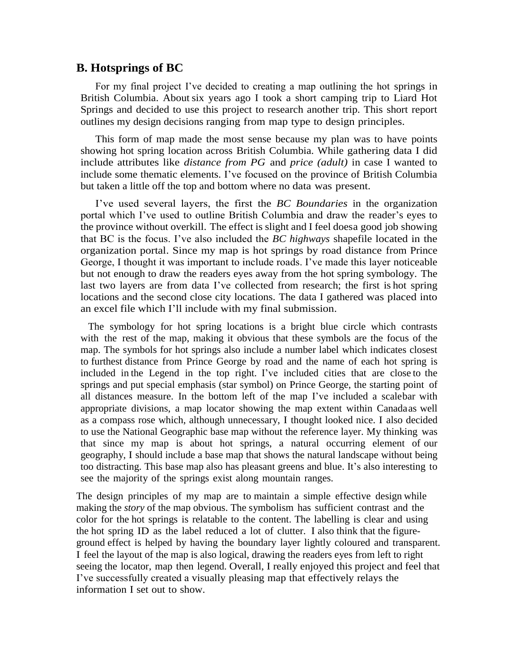#### **B. Hotsprings of BC**

For my final project I've decided to creating a map outlining the hot springs in British Columbia. About six years ago I took a short camping trip to Liard Hot Springs and decided to use this project to research another trip. This short report outlines my design decisions ranging from map type to design principles.

This form of map made the most sense because my plan was to have points showing hot spring location across British Columbia. While gathering data I did include attributes like *distance from PG* and *price (adult)* in case I wanted to include some thematic elements. I've focused on the province of British Columbia but taken a little off the top and bottom where no data was present.

I've used several layers, the first the *BC Boundaries* in the organization portal which I've used to outline British Columbia and draw the reader's eyes to the province without overkill. The effect is slight and I feel doesa good job showing that BC is the focus. I've also included the *BC highways* shapefile located in the organization portal. Since my map is hot springs by road distance from Prince George, I thought it was important to include roads. I've made this layer noticeable but not enough to draw the readers eyes away from the hot spring symbology. The last two layers are from data I've collected from research; the first is hot spring locations and the second close city locations. The data I gathered was placed into an excel file which I'll include with my final submission.

 The symbology for hot spring locations is a bright blue circle which contrasts with the rest of the map, making it obvious that these symbols are the focus of the map. The symbols for hot springs also include a number label which indicates closest to furthest distance from Prince George by road and the name of each hot spring is included in the Legend in the top right. I've included cities that are close to the springs and put special emphasis (star symbol) on Prince George, the starting point of all distances measure. In the bottom left of the map I've included a scalebar with appropriate divisions, a map locator showing the map extent within Canadaas well as a compass rose which, although unnecessary, I thought looked nice. I also decided to use the National Geographic base map without the reference layer. My thinking was that since my map is about hot springs, a natural occurring element of our geography, I should include a base map that shows the natural landscape without being too distracting. This base map also has pleasant greens and blue. It's also interesting to see the majority of the springs exist along mountain ranges.

The design principles of my map are to maintain a simple effective design while making the *story* of the map obvious. The symbolism has sufficient contrast and the color for the hot springs is relatable to the content. The labelling is clear and using the hot spring ID as the label reduced a lot of clutter. I also think that the figureground effect is helped by having the boundary layer lightly coloured and transparent. I feel the layout of the map is also logical, drawing the readers eyes from left to right seeing the locator, map then legend. Overall, I really enjoyed this project and feel that I've successfully created a visually pleasing map that effectively relays the information I set out to show.